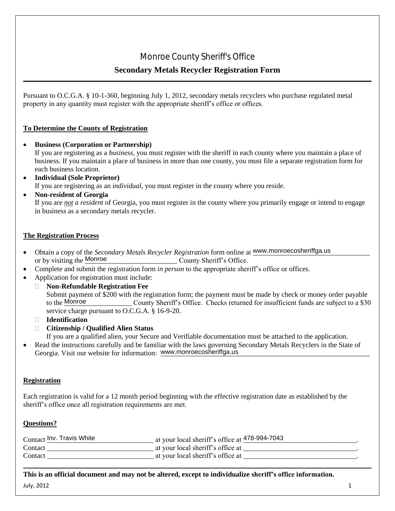### **Secondary Metals Recycler Registration Form**

Pursuant to O.C.G.A. § 10-1-360, beginning July 1, 2012, secondary metals recyclers who purchase regulated metal property in any quantity must register with the appropriate sheriff's office or offices.

#### **To Determine the County of Registration**

- **Business (Corporation or Partnership)** If you are registering as a *business,* you must register with the sheriff in each county where you maintain a place of business. If you maintain a place of business in more than one county, you must file a separate registration form for each business location.
- **Individual (Sole Proprietor)**  If you are registering as an *individual*, you must register in the county where you reside.
- **Non-resident of Georgia**

If you are *not a resident* of Georgia, you must register in the county where you primarily engage or intend to engage in business as a secondary metals recycler.

#### **The Registration Process**

- Obtain a copy of the *Secondary Metals Recycler Registration* form online at www.monroecosheriffga.us County Sheriff's Office. or by visiting the Monroe
- Complete and submit the registration form *in person* to the appropriate sheriff's office or offices.
- Application for registration must include:
- **Non-Refundable Registration Fee** Submit payment of \$200 with the registration form; the payment must be made by check or money order payable County Sheriff's Office. Checks returned for insufficient funds are subject to a \$30 service charge pursuant to O.C.G.A. § 16-9-20. to the Monroe **EXECT MONDE COUNTY Sheriff's Office**<br> **Secondary Metals Recycler Registration Form**<br> **In any quantity must register with the appropriate sheriff's office or offices.**<br> **In any quantity must register with the appropriate** 
	- **Identification**
	- **Citizenship / Qualified Alien Status**

If you are a qualified alien, your Secure and Verifiable documentation must be attached to the application.

 Read the instructions carefully and be familiar with the laws governing Secondary Metals Recyclers in the State of Georgia. Visit our website for information: www.monroecosheriffga.us

#### **Registration**

Each registration is valid for a 12 month period beginning with the effective registration date as established by the sheriff's office once all registration requirements are met.

#### **Questions?**

| Contact Inv. Travis White | at your local sheriff's office at $\frac{47}{8}$ -994-7043 |
|---------------------------|------------------------------------------------------------|
| Contact                   | at your local sheriff's office at                          |
| Contact                   | at your local sheriff's office at                          |

July, 2012  $\qquad \qquad \qquad$  1 **This is an official document and may not be altered, except to individualize sheriff's office information.**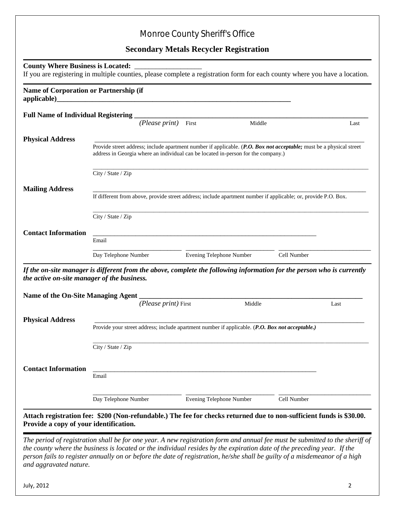## Monroe County Sheriff's Office

#### **Secondary Metals Recycler Registration**

|                                                                           | Name of Corporation or Partnership (if                                                                                                                                                                   |       |                                 |             |      |
|---------------------------------------------------------------------------|----------------------------------------------------------------------------------------------------------------------------------------------------------------------------------------------------------|-------|---------------------------------|-------------|------|
| Full Name of Individual Registering                                       |                                                                                                                                                                                                          |       |                                 |             |      |
|                                                                           | (Please print)                                                                                                                                                                                           | First |                                 | Middle      | Last |
| <b>Physical Address</b>                                                   |                                                                                                                                                                                                          |       |                                 |             |      |
|                                                                           | Provide street address; include apartment number if applicable. (P.O. Box not acceptable; must be a physical street<br>address in Georgia where an individual can be located in-person for the company.) |       |                                 |             |      |
|                                                                           | City / State / Zip                                                                                                                                                                                       |       |                                 |             |      |
| <b>Mailing Address</b>                                                    |                                                                                                                                                                                                          |       |                                 |             |      |
|                                                                           | If different from above, provide street address; include apartment number if applicable; or, provide P.O. Box.                                                                                           |       |                                 |             |      |
|                                                                           | City / State / Zip                                                                                                                                                                                       |       |                                 |             |      |
|                                                                           |                                                                                                                                                                                                          |       |                                 |             |      |
|                                                                           |                                                                                                                                                                                                          |       |                                 |             |      |
|                                                                           | <u> 1989 - Johann Stoff, amerikansk politiker (d. 1989)</u><br>Email                                                                                                                                     |       |                                 |             |      |
|                                                                           |                                                                                                                                                                                                          |       |                                 |             |      |
|                                                                           | Day Telephone Number                                                                                                                                                                                     |       | <b>Evening Telephone Number</b> | Cell Number |      |
|                                                                           | If the on-site manager is different from the above, complete the following information for the person who is currently                                                                                   |       |                                 |             |      |
| <b>Contact Information</b><br>the active on-site manager of the business. |                                                                                                                                                                                                          |       |                                 |             |      |
|                                                                           |                                                                                                                                                                                                          |       |                                 |             |      |
|                                                                           | (Please print) First                                                                                                                                                                                     |       | Middle                          |             | Last |
|                                                                           |                                                                                                                                                                                                          |       |                                 |             |      |
|                                                                           | Provide your street address; include apartment number if applicable. (P.O. Box not acceptable.)                                                                                                          |       |                                 |             |      |
| <b>Physical Address</b>                                                   |                                                                                                                                                                                                          |       |                                 |             |      |
|                                                                           | City / State / Zip                                                                                                                                                                                       |       |                                 |             |      |
|                                                                           |                                                                                                                                                                                                          |       |                                 |             |      |
|                                                                           | Email                                                                                                                                                                                                    |       |                                 |             |      |
| <b>Contact Information</b>                                                |                                                                                                                                                                                                          |       |                                 |             |      |
|                                                                           | Day Telephone Number                                                                                                                                                                                     |       | <b>Evening Telephone Number</b> | Cell Number |      |

*the county where the business is located or the individual resides by the expiration date of the preceding year. If the person fails to register annually on or before the date of registration, he/she shall be guilty of a misdemeanor of a high and aggravated nature.*